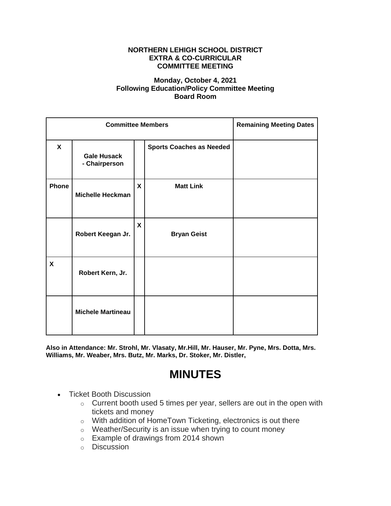## **NORTHERN LEHIGH SCHOOL DISTRICT EXTRA & CO-CURRICULAR COMMITTEE MEETING**

## **Monday, October 4, 2021 Following Education/Policy Committee Meeting Board Room**

| <b>Committee Members</b> |                                     |   |                                 | <b>Remaining Meeting Dates</b> |
|--------------------------|-------------------------------------|---|---------------------------------|--------------------------------|
| $\mathbf{x}$             | <b>Gale Husack</b><br>- Chairperson |   | <b>Sports Coaches as Needed</b> |                                |
| Phone                    | <b>Michelle Heckman</b>             | X | <b>Matt Link</b>                |                                |
|                          | Robert Keegan Jr.                   | X | <b>Bryan Geist</b>              |                                |
| X                        | Robert Kern, Jr.                    |   |                                 |                                |
|                          | <b>Michele Martineau</b>            |   |                                 |                                |

**Also in Attendance: Mr. Strohl, Mr. Vlasaty, Mr.Hill, Mr. Hauser, Mr. Pyne, Mrs. Dotta, Mrs. Williams, Mr. Weaber, Mrs. Butz, Mr. Marks, Dr. Stoker, Mr. Distler,**

## **MINUTES**

- Ticket Booth Discussion
	- o Current booth used 5 times per year, sellers are out in the open with tickets and money
	- o With addition of HomeTown Ticketing, electronics is out there
	- o Weather/Security is an issue when trying to count money
	- o Example of drawings from 2014 shown
	- o Discussion